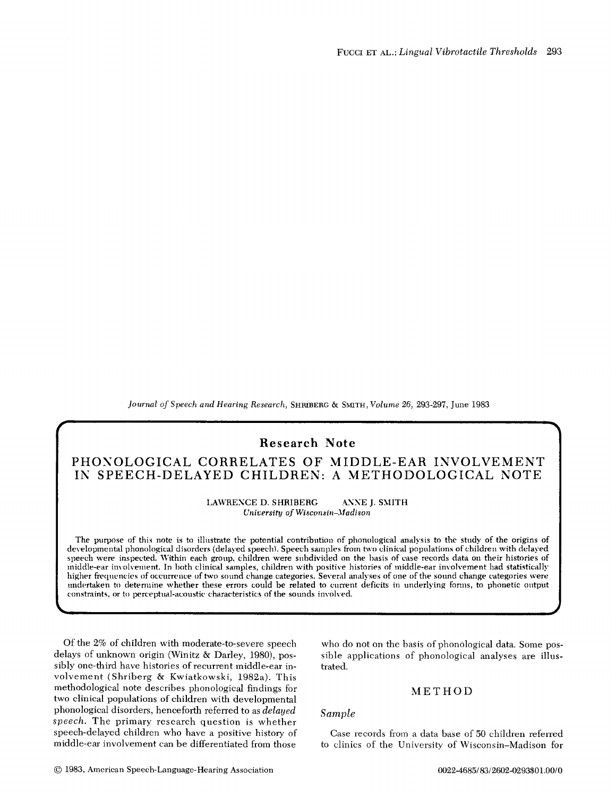*Journal of Speech and Hearing Research,* SHRIBEltG & SMITH, *Volume 26,* 293-297, June 1983

# **Research Note**

# **PHONOLOGICAL CORRELATES OF MIDDLE-EAR INVOLVEMENT**  IN SPEECH-DELAYED CHILDREN: A METHODOLOGICAL NOTE

LAWRENCE D. SHRIBERG ANNE J. SMITH *C of Wisconsin-Madison* 

The purpose of this note is to illustrate the potential contribution of phonological analysis to the study of the origins of developmental phonological disorders (delayed speech). Speech samples from two clinical populations of children with delayed speech were inspected. Within each group, children were subdivided on the basis of case records data on their histories of middle-ear involvement. In both clinical samples, children with positive histories of middle-ear involvement had statistically higher frequencies of occurrence of two sound change categories. Several analyses of one of the sound change categories were<br>undertaken to determine whether these errors could be related to current deficits in underlying f constraints, or to perceptual-acoustic characteristics of the sounds involved.

Of the 2% of children with moderate-to-severe speech delays of unknown origin (Winitz & Darley, 1980), possibly one-third have histories of recurrent middle-ear involvement (Shriberg & Kwiatkowski, 1982a). This methodological note describes phonological findings for two clinical populations of children with developmental phonological disorders, henceforth referred to as *delayed speech.* The primary research question is whether speech-delayed children who have a positive history of middle-ear involvement can be differentiated from those

who do not on the basis of phonological data. Some possible applications of phonological analyses are illustrated.

### **METHOD**

### *Sample*

Case records from a data base of 50 children referred to clinics of the University of Wisconsin-Madison for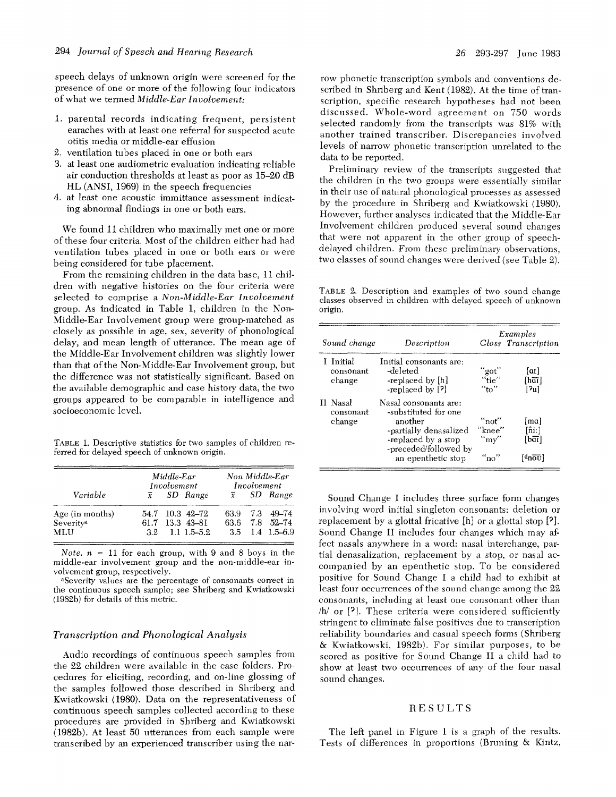speech delays of unknown origin were screened for the presence of one or more of the following four indicators of what we tenned *Middle-Ear Involvement:* 

- 1. parental records indicating frequent, persistent earaches with at least one referral for suspected acute otitis media or middle-ear effusion
- 2. ventilation tubes placed in one or both ears
- 3. at least one audiometric evaluation indicating reliable air conduction thresholds at least as poor as 15-20 dB HL (ANSI, 1969) in the speech frequencies
- 4. at least one acoustic immittance assessment indicating abnormal findings in one or both ears.

We found 11 children who maximally met one or more of these four criteria. Most of the children either had had ventilation tubes placed in one or both ears or were being considered for tube placement.

From the remaining children in the data base, 11 children with negative histories on the four criteria were selected to comprise a *Non-Middle-Ear Involvement*  group. As indicated in Table 1, children in the Non-Middle-Ear Involvement group were group-matched as closely as possible in age, sex, severity of phonological delay, and mean length of utterance. The mean age of the Middle-Ear Involvement children was slightly lower than that of the Non-Middle-Ear Involvement group, but the difference was not statistically significant. Based on the available demographic and case history data, the two groups appeared to be comparable in intelligence and socioeconomic level.

TABLE 1. Descriptive statistics for two samples of children referred for delayed speech of unknown origin.

|                       | Middle-Ear<br>Involvement |                    | Non Middle-Ear<br>Involvement |  |                   |
|-----------------------|---------------------------|--------------------|-------------------------------|--|-------------------|
| Variable              |                           | $\bar{x}$ SD Range | $\overline{x}$                |  | SD Range          |
| Age (in months)       |                           | 54.7 10.3 42-72    | 63.9                          |  | 7.3 49-74         |
| Severity <sup>a</sup> |                           | 61.7 13.3 43-81    |                               |  | 63.6 7.8 52-74    |
| <b>MLU</b>            |                           | $3.2$ 1.1 1.5–5.2  |                               |  | $3.5$ 1.4 1.5-6.9 |

*Note.*  $n = 11$  for each group, with 9 and 8 boys in the middle-ear involvement group and the non-middle-ear involvement group, respectively.

aSeverity values are the percentage of consonants correct in the continuous speech sample; see Shriberg and Kwiatkowski (1982b) for details of this metric.

#### *Transcription and Phonological Analysis*

Audio recordings of continuous speech samples from the 22 children were available in the case folders. Procedures for eliciting, recording, and on-line glossing of the samples followed those described in Shriberg and Kwiatkowski (1980). Data on the representativeness of continuous speech samples collected according to these procedures are provided in Shriberg and Kwiatkowski (1982b). At least 50 utterances from each sample were transcribed by an experienced transcriber using the nar-

row phonetic transcription symbols and conventions described in Shriberg and Kent (1982). At the time of transcription, specific research hypotheses had not been discussed. Whole-word agreement on 750 words selected randomly from the transcripts was 81% with another trained transcriber. Discrepancies involved levels of narrow phonetic transcription unrelated to the data to be reported.

Preliminary review of the transcripts suggested that the children in the two groups were essentially similar in their use of natural phonological processes as assessed by the procedure in Shriberg and Kwiatkowski (1980). However, further analyses indicated that the Middle-Ear Involvement children produced several sound changes that were not apparent in the other group of speechdelayed children. From these preliminary observations, two classes of sound changes were derived (see Table 2).

TABLE 2. Description and examples of two sound change classes observed in children with delayed speech of unknown origin.

|                                  |                                                                                                                                                          | Examples                                     |                                                                        |  |
|----------------------------------|----------------------------------------------------------------------------------------------------------------------------------------------------------|----------------------------------------------|------------------------------------------------------------------------|--|
| Sound change                     | Description                                                                                                                                              |                                              | Gloss Transcription                                                    |  |
| I Initial<br>consonant<br>change | Initial consonants are:<br>-deleted<br>-replaced by [h]<br>-replaced by [?]                                                                              | "got"<br>$"$ tie"<br>"to"                    | $\lceil at \rceil$<br>[har]<br>[?u]                                    |  |
| II Nasal<br>consonant<br>change  | Nasal consonants are:<br>-substituted for one<br>another<br>-partially denasalized<br>-replaced by a stop<br>-preceded/followed by<br>an epenthetic stop | "not"<br>"knee"<br>$\mathrm{``mv''}$<br>"no" | [ma]<br>fñi:1<br>[baī]<br>$\lceil 4n \overline{0} \overline{v} \rceil$ |  |

Sound Change I includes three surface fonn changes involving word initial singleton consonants: deletion or replacement by a glottal fricative [h] or a glottal stop [?]. Sound Change II includes four changes which may affect nasals anywhere in a word: nasal interchange, partial denasalization, replacement by a stop, or nasal accompanied by an epenthetic stop. To be considered positive for Sound Change I a ehild had to exhibit at least four occurrences of the sound change among the 22 consonants, including at least one consonant other than /h/ or [7]. These criteria were considered sufficiently stringent to eliminate false positives due to transcription reliability boundaries and casual speech forms (Shriberg & Kwiatkowski, 1982b). For similar purposes, to be scored as positive for Sound Change II a child had to show at least two occurrences of any of the four nasal sound changes.

#### RESULTS

The left panel in Figure I is a graph of the results. Tests of differences in proportions (Bruning & Kintz,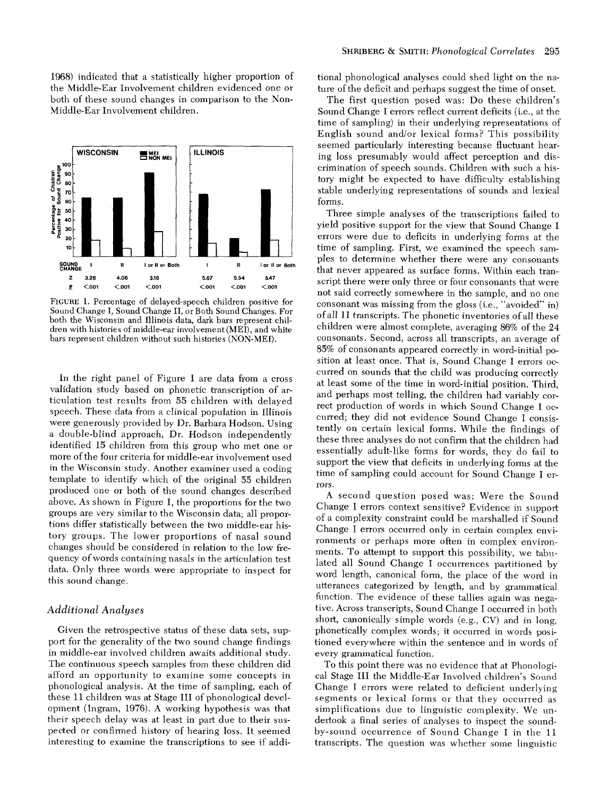1968) indicated that a statistically higher proportion of the Middle-Ear Involvement children evidenced one or both of these sound changes in comparison to the Non-Middle-Ear Involvement children.



FIGURE 1. Percentage of delayed-speech children positive for Sound Change I, Sound Change II, or Both Sound Changes. For both the Wisconsin and Illinois data, dark bars represent children with histories of middle-ear involvement (MEI), and white bars represent children without such histories (NON-MEI).

In the right panel of Figure 1 are data from a cross validation study based on phonetic transcription of articulation test results from 55 children with delayed speech. These data from a clinical population in Illinois were generously provided by Dr. Barbara Hodson. Using a double-blind approach, Dr. Hodson independently identified 15 children from this group who met one or more of the four criteria for middle-ear involvement used in the Wisconsin study. Another examiner used a coding template to identify which of the original 55 children produced one or both of the sound changes described above. As shown in Figure 1, the proportions for the two groups are very similar to the Wisconsin data; all proportions differ statistically between the two middle-ear history groups. The lower proportions of nasal sound changes should be considered in relation to the low frequency of words containing nasals in the articulation test data. Only three words were appropriate to inspect for this sound change.

#### *Additional Analyses*

Given the retrospective status of these data sets, support for the generality of the two sound change findings in middle-ear involved children awaits additional study. The continuous speech samples from these children did afford an opportunity to examine some concepts in phonological analysis. At the time of sampling, each of these 11 children was at Stage III of phonological development (Ingram, 1976). A working hypothesis was that their speech delay was at least in part due to their suspected or confirmed history of hearing loss. It seemed interesting to examine the transcriptions to see if additional phonological analyses could shed light on the nature of the deficit and perhaps suggest the time of onset.

The first question posed was: Do these children's Sound Change I errors reflect current deficits (i.e., at the time of sampling) in their underlying representations of English sound and/or lexieal forms? This possibility seemed particularly interesting because fluetuant hearing loss presumably would affect perception and discrimination of speech sounds. Children with such a history might be expected to have difficulty establishing stable underlying representations of sounds and lexical forms.

Three simple analyses of the transcriptions failed to yield positive support for the view that Sound Change I errors were due to deficits in underlying forms at the time of sampling. First, we examined the speech sampies to determine whether there were any consonants that never appeared as surface forms. Within each transcript there were only three or four consonants that were not said correctly somewhere in the sample, and no one consonant was missing from the gloss (i.e., "avoided" in) of all 11 transcripts. The phonetic inventories of all these children were almost complete, averaging 86% of the 24 consonants. Second, across all transcripts, an average of 85% of consonants appeared correctly in word-initial position at least once. That is, Sound Change I errors occurred on sounds that the child was producing correctly at least some of the time in word-initial position. Third, and perhaps most telling, the children had variably correct production of words in which Sound Change I occurred; they did not evidence Sound Change I consistently on certain lexical forms. While the findings of these three analyses do not confirm that the children had essentially adult-like forms for words, they do fail to support the view that deficits in underlying forms at the time of sampling could account for Sound Change I errors.

A second question posed was: Were the Sound Change I errors context sensitive? Evidence in support of a complexity constraint could be marshalled if Sound Change I errors occurred only in certain complex environments or perhaps more often in complex environments. To attempt to support this possibility, we tabulated all Sound Change I occurrences partitioned by word length, canonical form, the place of the word in utterances categorized by length, and by grammatical function. The evidence of these tallies again was negative. Across transcripts, Sound Change I occurred in both short, canonically simple words (e.g., CV) and in long, phonetically complex words; it occurred in words positioned everywhere within the sentence and in words of every grammatical function.

To this point there was no evidence that at Phonological Stage III the Middle-Ear Involved children's Sound Change I errors were related to deficient underlying segments or lexical forms or that they occurred as simplifications due to linguistic complexity. We undertook a final series of analyses to inspect the soundby-sound occurrence of Sound Change I in the 11 transcripts. The question was whether some linguistic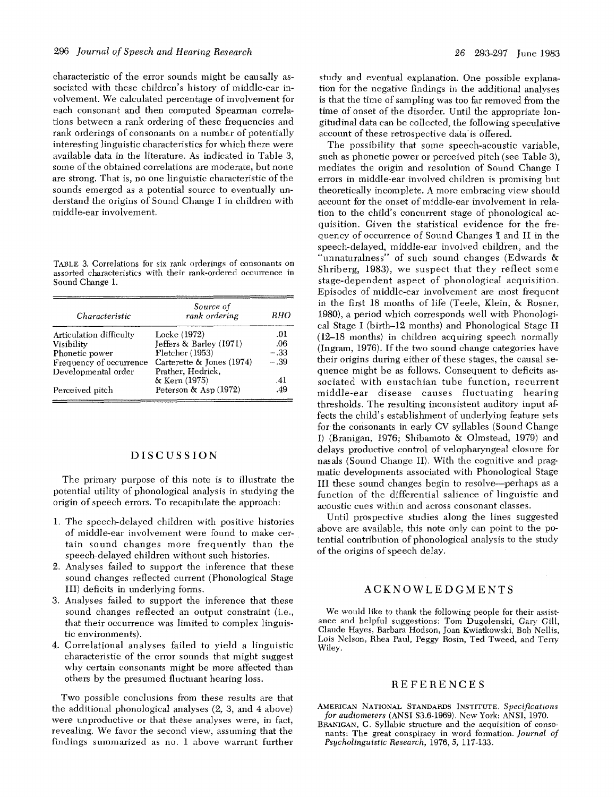characteristic of the error sounds might be causally associated with these children's history of middle-ear involvement. We calculated percentage of involvement for each consonant and then computed Spearman correlations between a rank ordering of these frequencies and rank orderings of consonants on a number of potentially interesting linguistic characteristics for which there were available data in the literature. As indicated in Table 3, some of the obtained correlations are moderate, but none are strong. That is, no one linguistic characteristic of the sounds emerged as a potential source to eventually understand the origins of Sound Change I in children with middle-ear involvement.

TABLE 3. Correlations for six rank orderings of consonants on assorted characteristics with their rank-ordered occurrence in Sound Change 1.

| Characteristic          | Source of<br>rank ordering | RHO    |
|-------------------------|----------------------------|--------|
| Articulation difficulty | Locke (1972)               | .01    |
| Visibility              | Jeffers & Barley (1971)    | .06    |
| Phonetic power          | $F$ letcher (1953)         | $-.33$ |
| Frequency of occurrence | Carterette & Jones (1974)  | $-.39$ |
| Developmental order     | Prather, Hedrick,          |        |
|                         | & Kern (1975)              | .41    |
| Perceived pitch         | Peterson & Asp (1972)      | .49    |

#### DISCUSSION

The primary purpose of this note is to illustrate the potential utility of phonological analysis in studying the origin of speech errors. To recapitulate the approach:

- 1. The speech-delayed children with positive histories of middle-ear involvement were found to make certain sound changes more frequently than the speech-delayed children without such histories.
- 2. Analyses failed to support the inference that these sound changes reflected current (Phonological Stage III) deficits in underlying fonns.
- 3. Analyses failed to support the inference that these sound changes reflected an output constraint (i.e., that their occurrence was limited to complex linguistic environments).
- 4. Correlational analyses failed to yield a linguistic characteristic of the error sounds that might suggest why certain consonants might be more affected than others by the presmned fluctuant hearing loss.

Two possible conclusions from these results are that the additional phonological analyses (2, 3, and 4 above) were unproductive or that these analyses were, in fact, revealing. We favor the second view, assuming that the findings summarized as no. 1 above warrant further

study and eventual explanation. One possible explanation for the negative findings in the additional analyses is that the time of sampling was too far removed from the time of onset of the disorder. Until the appropriate longitudinal data can be collected, the following speculative account of these retrospective data is offered.

The possibility that some speech-acoustic variable, such as phonetic power or perceived pitch (see Table 3), mediates the origin and resolution of Sound Change I errors in middle-ear involved children is promising but theoretically incomplete. A more embracing view should account for the onset of middle-ear involvement in relation to the child's concurrent stage of phonological acquisition. Given the statistical evidence for the frequency of occurrence of Sound Changes I and II in the speech-delayed, middle-ear involved children, and the "unnaturalness" of such sound changes (Edwards & Shriberg, 1983), we suspect that they reflect some stage-dependent aspect of phonological acquisition. Episodes of middle-ear involvement are most frequent in the first 18 months of life (Teele, Klein, & Rosner, 1980), a period which corresponds well with Phonological Stage I (birth-12 months) and Phonological Stage II  $(12-18$  months) in children acquiring speech normally (Ingram,  $1976$ ). If the two sound change categories have their origins during either of these stages, the cansal sequence might be as follows. Consequent to deficits associated with eustachian tube function, recurrent middle-ear disease causes fluctuating hearing thresholds. The resulting inconsistent auditory input affects the child's establishment of underlying feature sets for the consonants in early CV syllables (Sound Change I) (Branigan, 1976; Shibamoto & Olmstead, 1979) and delays productive control of velopharyngeal closure for nasals (Sound Change II). With the cognitive and pragmatic developments associated with Phonological Stage III these sound changes begin to resolve--perhaps as a function of the differential salience of linguistic and acoustic cues within and across consonant classes.

Until prospective studies along the lines suggested above are available, this note only can point to the potential contribution of phonological analysis to the study of the origins of speech delay.

### ACKNOWLEDGMENTS

We would like to thank the following people for their assistanee and helpful suggestions: Tom Dugolenski, Gary Gill, Claude Hayes, Barbara Hodson, Joan Kwiatkowski, Bob Nellis, Lois Nelson, Rhea Paul, Peggy Rosin, Ted Tweed, and Terry Wiley.

#### REFERENCES

AMERICAN NATIONAL STANDARDS INSTITUTE. *Specifications for audiometers* (ANSI \$3.6-1969). New York: ANSI, 1970.

BRANIGAN, G. Syllabic structure and the acquisition of consonants: The great conspiracy in word formation. *Journal of Psycholinguistic Research,* 1976, *5,* 117-133.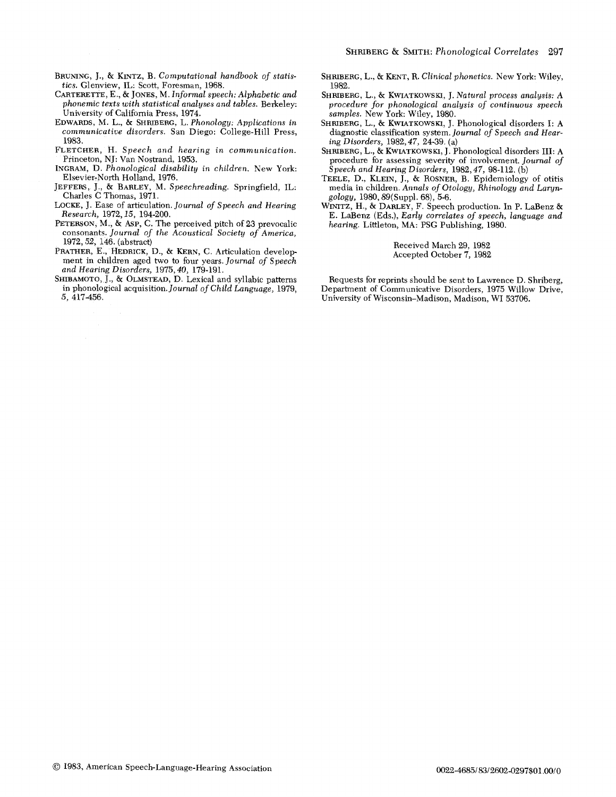- BRUNING, J,, & KINTZ, B. *Computational handbook of statistics.* Glenview, IL: Scott, Foresman, 1968.
- CARTERETTE, E., & JONES, M. *Informal speech: Alphabetic and phonemic texts with statistical analyses and tables.* Berkeley: University of California Press, 1974.
- EDWARDS, M. L., & SHRIBERG, L. *Phonology: Applications in communicative disorders.* San Diego: College-Hill Press, 1983,
- FLETCHER, H. *Speech and hearing in communication.*  Princeton, NJ: Van Nostrand, 1953.
- INGRAM, D. *Phonological disability in children.* New York: Elsevier-North Holland, 1976.
- JEFFERS, J., & BARLEY, M. *Speeehreading.* Springfield, IL: Charles C Thomas, 1971.
- LOCKE, J. Ease of articulation. *Journal of Speech and Hearing Research,* 1972,15, 194-200.
- PETERSON, M., & ASP, C. The perceived pitch of 23 prevocalic consonants. *Journal of the Acoustical Society of America,*  1972, 52, 146. (abstract)
- PRATHER, E., HEDRICK, D., & KERN, C. Articulation development in children aged two to four years. *Journal of Speech and Hearing Disorders,* 1975, *40,* 179-191.
- SHIBAMOTO, J., & OLMSTEAD, D. Lexical and syllabic patterns in phonological acquisition. *Journal of Child Language,* 1979, *5,* 417-456.
- SHRIBERG, L., & KENT, R. *Clinical phonetics*. New York: Wiley, 1982.
- SHRIBERG, L., & KWIATKOWSKI, J. *Natural process analysis: A procedure for phonological analysis of continuous speech samples.* New York: Wiley, 1980.
- SHRIBERG, L., & KWIATKOWSKI, J. Phonological disorders I: A diagnostic classification system. *Journal of Speech and Hearing Disorders,* 1982, *47,* 24-39. (a)
- SHRIBERG, L., & KWIATKOWSKI, J. Phonological disorders III: A procedure for assessing severity of involvement. *Journal of S peech and Hearing Disorders,* 1982, *47,* 98-112. (b)
- TEELE, D., KLEIN, J., & ROSNER, B. Epidemiology of otitis media in children. *Annals of Otology, Rhinology and Laryngology,* 1980, 89(Suppl. 68), 5-6.
- WINITZ, H., & DARLEY, F. Speech production. In P. LaBenz & E. LaBenz (Eds.), *Early correlates of speech, language and hearing.* Littleton, MA: PSG Publishing, 1980.

Received March 29, 1982 Accepted October 7, 1982

Requests for reprints should be sent to Lawrence D. Shriberg, Department of Communicative Disorders, 1975 Willow Drive, University of Wisconsin-Madison, Madison, WI 53706.